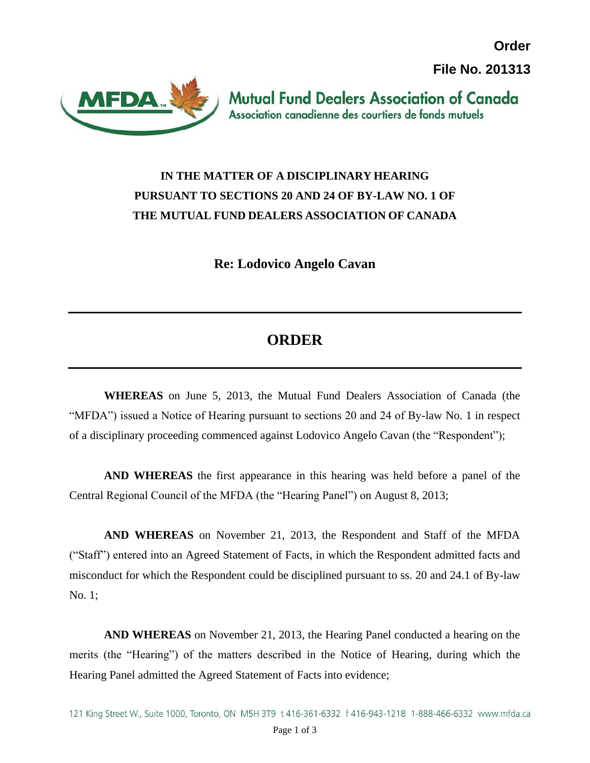**Order File No. 201313**



**Mutual Fund Dealers Association of Canada** Association canadienne des courtiers de fonds mutuels

## **IN THE MATTER OF A DISCIPLINARY HEARING PURSUANT TO SECTIONS 20 AND 24 OF BY-LAW NO. 1 OF THE MUTUAL FUND DEALERS ASSOCIATION OF CANADA**

**Re: Lodovico Angelo Cavan**

## **ORDER**

**WHEREAS** on June 5, 2013, the Mutual Fund Dealers Association of Canada (the "MFDA") issued a Notice of Hearing pursuant to sections 20 and 24 of By-law No. 1 in respect of a disciplinary proceeding commenced against Lodovico Angelo Cavan (the "Respondent");

**AND WHEREAS** the first appearance in this hearing was held before a panel of the Central Regional Council of the MFDA (the "Hearing Panel") on August 8, 2013;

**AND WHEREAS** on November 21, 2013, the Respondent and Staff of the MFDA ("Staff") entered into an Agreed Statement of Facts, in which the Respondent admitted facts and misconduct for which the Respondent could be disciplined pursuant to ss. 20 and 24.1 of By-law No. 1;

**AND WHEREAS** on November 21, 2013, the Hearing Panel conducted a hearing on the merits (the "Hearing") of the matters described in the Notice of Hearing, during which the Hearing Panel admitted the Agreed Statement of Facts into evidence;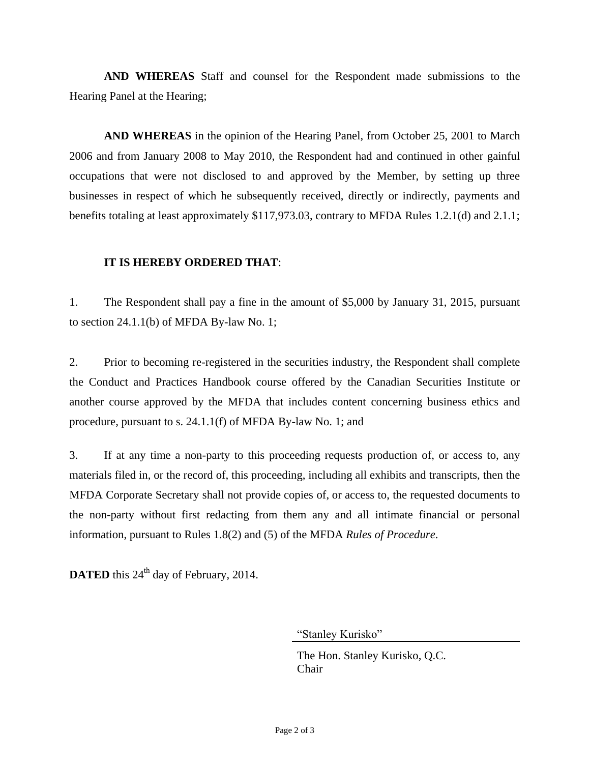**AND WHEREAS** Staff and counsel for the Respondent made submissions to the Hearing Panel at the Hearing;

**AND WHEREAS** in the opinion of the Hearing Panel, from October 25, 2001 to March 2006 and from January 2008 to May 2010, the Respondent had and continued in other gainful occupations that were not disclosed to and approved by the Member, by setting up three businesses in respect of which he subsequently received, directly or indirectly, payments and benefits totaling at least approximately \$117,973.03, contrary to MFDA Rules 1.2.1(d) and 2.1.1;

## **IT IS HEREBY ORDERED THAT**:

1. The Respondent shall pay a fine in the amount of \$5,000 by January 31, 2015, pursuant to section 24.1.1(b) of MFDA By-law No. 1;

2. Prior to becoming re-registered in the securities industry, the Respondent shall complete the Conduct and Practices Handbook course offered by the Canadian Securities Institute or another course approved by the MFDA that includes content concerning business ethics and procedure, pursuant to s. 24.1.1(f) of MFDA By-law No. 1; and

3. If at any time a non-party to this proceeding requests production of, or access to, any materials filed in, or the record of, this proceeding, including all exhibits and transcripts, then the MFDA Corporate Secretary shall not provide copies of, or access to, the requested documents to the non-party without first redacting from them any and all intimate financial or personal information, pursuant to Rules 1.8(2) and (5) of the MFDA *Rules of Procedure*.

**DATED** this 24<sup>th</sup> day of February, 2014.

"Stanley Kurisko"

The Hon. Stanley Kurisko, Q.C. Chair